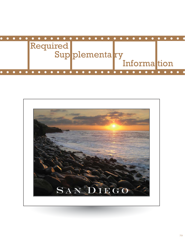

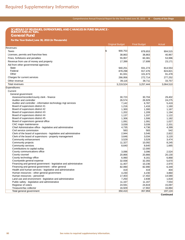# Schedule of Revenues, Expenditures, and Changes in Fund Balance - Budget and Actual: General Fund **SCHEDULE OF REVENUES, EXPENDITURES, AND CHANGES IN FUND BALANCE - BUDGET AND ACTUAL**

**General Fund**

|  | For the Year Ended June 30, 2010 (In Thousands) |  |
|--|-------------------------------------------------|--|
|--|-------------------------------------------------|--|

| Revenues:<br>5<br>900,753<br><b>Taxes</b><br>878,653<br>Licenses, permits and franchise fees<br>38,863<br>38,863<br>40,967<br>Fines, forfeitures and penalties<br>55,957<br>60,381<br>53,996<br>Revenue from use of money and property<br>17,399<br>17,699<br>23,171<br>Aid from other governmental agencies:<br><b>State</b><br>940,251<br>931,274<br>814,553<br>Federal<br>878,298<br>917,476<br>824,821<br>Other<br>81,931<br>101,673<br>91,478<br>Charges for current services<br>266,956<br>272,714<br>277,252<br>39,116<br>38,711<br>33,757<br>Other revenue<br>3,219,524<br>3,257,444<br>3,064,510<br><b>Total revenues</b><br>Expenditures:<br>Current:<br>General government:<br>30,723<br>30,704<br>Assessor/recorder/county clerk - finance<br>Auditor and controller<br>26,574<br>26,929<br>Auditor and controller - information technology mgt services<br>7,142<br>6,787<br>Board of supervisors district #1<br>1,216<br>1,416<br>Board of supervisors district #2<br>1,300<br>1,300<br>Board of supervisors district #3<br>1,202<br>1,209<br>Board of supervisors district #4<br>1,337<br>1,137<br>Board of supervisors district #5<br>1,306<br>1,506<br>1,027<br>Board of supervisors general office<br>1,091<br>1,091<br>2,201<br>CAC major maintenance<br>3,039<br>3,039<br>Chief Administrative office - legislative and administrative<br>4,736<br>4,399<br>4,735<br>583<br>583<br>542<br>Civil service commission<br>Clerk of the board of supervisors - legislative and administrative<br>2,822<br>2,944<br>3,546<br>Clerk of the board of supervisors - property management<br>3,034<br>3,120<br>3,646<br>Community enhancement<br>3,529<br>3,529<br>3,474<br>Community projects<br>11,327<br>10,092<br>8,245<br>Community services<br>8,640<br>8,640<br>1,665<br>Contributions to capital outlay<br>12,000<br>County communications office<br>3,096<br>3,096<br>2,524<br>County counsel<br>20,866<br>20,866<br>20,130<br>County technology office<br>6,990<br>8,161<br>6,868<br>Countywide general expense<br>32,938<br>32,355<br>5,670<br>Financing and general government - legislative and administrative<br>11,407<br>10,236<br>2,970<br>Financing and general government - other general<br>82,990<br>6,349<br>82,990<br>Health and human services - legislative and administrative<br>419<br>404<br>419<br>Human resources - other general government<br>4,230<br>4,230<br>3,860<br>Human resources - personnel<br>17,403<br>17,402<br>14,580<br>Land use and environment - legislative and administrative<br>7,250<br>2,838<br>1,818<br>Public safety - legislative and administrative<br>11,167<br>11,167<br>7,554<br>Registrar of voters<br>24,591<br>24,819<br>15,097<br>Treasurer/tax collector<br>16,884<br>16,929<br>17,902<br>Total general government<br>350,410<br>357,959<br>197,124<br><b>Continued</b> | <b>Original Budget</b> | <b>Final Budget</b> | <b>Actual</b> |
|---------------------------------------------------------------------------------------------------------------------------------------------------------------------------------------------------------------------------------------------------------------------------------------------------------------------------------------------------------------------------------------------------------------------------------------------------------------------------------------------------------------------------------------------------------------------------------------------------------------------------------------------------------------------------------------------------------------------------------------------------------------------------------------------------------------------------------------------------------------------------------------------------------------------------------------------------------------------------------------------------------------------------------------------------------------------------------------------------------------------------------------------------------------------------------------------------------------------------------------------------------------------------------------------------------------------------------------------------------------------------------------------------------------------------------------------------------------------------------------------------------------------------------------------------------------------------------------------------------------------------------------------------------------------------------------------------------------------------------------------------------------------------------------------------------------------------------------------------------------------------------------------------------------------------------------------------------------------------------------------------------------------------------------------------------------------------------------------------------------------------------------------------------------------------------------------------------------------------------------------------------------------------------------------------------------------------------------------------------------------------------------------------------------------------------------------------------------------------------------------------------------------------------------------------------------------------------------------------------------------------------------------------------------------------------------------------------------------------------------------------------------------------------------------------------------------------------------------------|------------------------|---------------------|---------------|
|                                                                                                                                                                                                                                                                                                                                                                                                                                                                                                                                                                                                                                                                                                                                                                                                                                                                                                                                                                                                                                                                                                                                                                                                                                                                                                                                                                                                                                                                                                                                                                                                                                                                                                                                                                                                                                                                                                                                                                                                                                                                                                                                                                                                                                                                                                                                                                                                                                                                                                                                                                                                                                                                                                                                                                                                                                                   |                        |                     |               |
|                                                                                                                                                                                                                                                                                                                                                                                                                                                                                                                                                                                                                                                                                                                                                                                                                                                                                                                                                                                                                                                                                                                                                                                                                                                                                                                                                                                                                                                                                                                                                                                                                                                                                                                                                                                                                                                                                                                                                                                                                                                                                                                                                                                                                                                                                                                                                                                                                                                                                                                                                                                                                                                                                                                                                                                                                                                   |                        |                     | 904,515       |
|                                                                                                                                                                                                                                                                                                                                                                                                                                                                                                                                                                                                                                                                                                                                                                                                                                                                                                                                                                                                                                                                                                                                                                                                                                                                                                                                                                                                                                                                                                                                                                                                                                                                                                                                                                                                                                                                                                                                                                                                                                                                                                                                                                                                                                                                                                                                                                                                                                                                                                                                                                                                                                                                                                                                                                                                                                                   |                        |                     |               |
|                                                                                                                                                                                                                                                                                                                                                                                                                                                                                                                                                                                                                                                                                                                                                                                                                                                                                                                                                                                                                                                                                                                                                                                                                                                                                                                                                                                                                                                                                                                                                                                                                                                                                                                                                                                                                                                                                                                                                                                                                                                                                                                                                                                                                                                                                                                                                                                                                                                                                                                                                                                                                                                                                                                                                                                                                                                   |                        |                     |               |
|                                                                                                                                                                                                                                                                                                                                                                                                                                                                                                                                                                                                                                                                                                                                                                                                                                                                                                                                                                                                                                                                                                                                                                                                                                                                                                                                                                                                                                                                                                                                                                                                                                                                                                                                                                                                                                                                                                                                                                                                                                                                                                                                                                                                                                                                                                                                                                                                                                                                                                                                                                                                                                                                                                                                                                                                                                                   |                        |                     |               |
|                                                                                                                                                                                                                                                                                                                                                                                                                                                                                                                                                                                                                                                                                                                                                                                                                                                                                                                                                                                                                                                                                                                                                                                                                                                                                                                                                                                                                                                                                                                                                                                                                                                                                                                                                                                                                                                                                                                                                                                                                                                                                                                                                                                                                                                                                                                                                                                                                                                                                                                                                                                                                                                                                                                                                                                                                                                   |                        |                     |               |
|                                                                                                                                                                                                                                                                                                                                                                                                                                                                                                                                                                                                                                                                                                                                                                                                                                                                                                                                                                                                                                                                                                                                                                                                                                                                                                                                                                                                                                                                                                                                                                                                                                                                                                                                                                                                                                                                                                                                                                                                                                                                                                                                                                                                                                                                                                                                                                                                                                                                                                                                                                                                                                                                                                                                                                                                                                                   |                        |                     |               |
|                                                                                                                                                                                                                                                                                                                                                                                                                                                                                                                                                                                                                                                                                                                                                                                                                                                                                                                                                                                                                                                                                                                                                                                                                                                                                                                                                                                                                                                                                                                                                                                                                                                                                                                                                                                                                                                                                                                                                                                                                                                                                                                                                                                                                                                                                                                                                                                                                                                                                                                                                                                                                                                                                                                                                                                                                                                   |                        |                     |               |
|                                                                                                                                                                                                                                                                                                                                                                                                                                                                                                                                                                                                                                                                                                                                                                                                                                                                                                                                                                                                                                                                                                                                                                                                                                                                                                                                                                                                                                                                                                                                                                                                                                                                                                                                                                                                                                                                                                                                                                                                                                                                                                                                                                                                                                                                                                                                                                                                                                                                                                                                                                                                                                                                                                                                                                                                                                                   |                        |                     |               |
|                                                                                                                                                                                                                                                                                                                                                                                                                                                                                                                                                                                                                                                                                                                                                                                                                                                                                                                                                                                                                                                                                                                                                                                                                                                                                                                                                                                                                                                                                                                                                                                                                                                                                                                                                                                                                                                                                                                                                                                                                                                                                                                                                                                                                                                                                                                                                                                                                                                                                                                                                                                                                                                                                                                                                                                                                                                   |                        |                     |               |
|                                                                                                                                                                                                                                                                                                                                                                                                                                                                                                                                                                                                                                                                                                                                                                                                                                                                                                                                                                                                                                                                                                                                                                                                                                                                                                                                                                                                                                                                                                                                                                                                                                                                                                                                                                                                                                                                                                                                                                                                                                                                                                                                                                                                                                                                                                                                                                                                                                                                                                                                                                                                                                                                                                                                                                                                                                                   |                        |                     |               |
|                                                                                                                                                                                                                                                                                                                                                                                                                                                                                                                                                                                                                                                                                                                                                                                                                                                                                                                                                                                                                                                                                                                                                                                                                                                                                                                                                                                                                                                                                                                                                                                                                                                                                                                                                                                                                                                                                                                                                                                                                                                                                                                                                                                                                                                                                                                                                                                                                                                                                                                                                                                                                                                                                                                                                                                                                                                   |                        |                     |               |
|                                                                                                                                                                                                                                                                                                                                                                                                                                                                                                                                                                                                                                                                                                                                                                                                                                                                                                                                                                                                                                                                                                                                                                                                                                                                                                                                                                                                                                                                                                                                                                                                                                                                                                                                                                                                                                                                                                                                                                                                                                                                                                                                                                                                                                                                                                                                                                                                                                                                                                                                                                                                                                                                                                                                                                                                                                                   |                        |                     |               |
|                                                                                                                                                                                                                                                                                                                                                                                                                                                                                                                                                                                                                                                                                                                                                                                                                                                                                                                                                                                                                                                                                                                                                                                                                                                                                                                                                                                                                                                                                                                                                                                                                                                                                                                                                                                                                                                                                                                                                                                                                                                                                                                                                                                                                                                                                                                                                                                                                                                                                                                                                                                                                                                                                                                                                                                                                                                   |                        |                     |               |
|                                                                                                                                                                                                                                                                                                                                                                                                                                                                                                                                                                                                                                                                                                                                                                                                                                                                                                                                                                                                                                                                                                                                                                                                                                                                                                                                                                                                                                                                                                                                                                                                                                                                                                                                                                                                                                                                                                                                                                                                                                                                                                                                                                                                                                                                                                                                                                                                                                                                                                                                                                                                                                                                                                                                                                                                                                                   |                        |                     |               |
|                                                                                                                                                                                                                                                                                                                                                                                                                                                                                                                                                                                                                                                                                                                                                                                                                                                                                                                                                                                                                                                                                                                                                                                                                                                                                                                                                                                                                                                                                                                                                                                                                                                                                                                                                                                                                                                                                                                                                                                                                                                                                                                                                                                                                                                                                                                                                                                                                                                                                                                                                                                                                                                                                                                                                                                                                                                   |                        |                     |               |
|                                                                                                                                                                                                                                                                                                                                                                                                                                                                                                                                                                                                                                                                                                                                                                                                                                                                                                                                                                                                                                                                                                                                                                                                                                                                                                                                                                                                                                                                                                                                                                                                                                                                                                                                                                                                                                                                                                                                                                                                                                                                                                                                                                                                                                                                                                                                                                                                                                                                                                                                                                                                                                                                                                                                                                                                                                                   |                        |                     | 29,402        |
|                                                                                                                                                                                                                                                                                                                                                                                                                                                                                                                                                                                                                                                                                                                                                                                                                                                                                                                                                                                                                                                                                                                                                                                                                                                                                                                                                                                                                                                                                                                                                                                                                                                                                                                                                                                                                                                                                                                                                                                                                                                                                                                                                                                                                                                                                                                                                                                                                                                                                                                                                                                                                                                                                                                                                                                                                                                   |                        |                     | 24,275        |
|                                                                                                                                                                                                                                                                                                                                                                                                                                                                                                                                                                                                                                                                                                                                                                                                                                                                                                                                                                                                                                                                                                                                                                                                                                                                                                                                                                                                                                                                                                                                                                                                                                                                                                                                                                                                                                                                                                                                                                                                                                                                                                                                                                                                                                                                                                                                                                                                                                                                                                                                                                                                                                                                                                                                                                                                                                                   |                        |                     | 5,419         |
|                                                                                                                                                                                                                                                                                                                                                                                                                                                                                                                                                                                                                                                                                                                                                                                                                                                                                                                                                                                                                                                                                                                                                                                                                                                                                                                                                                                                                                                                                                                                                                                                                                                                                                                                                                                                                                                                                                                                                                                                                                                                                                                                                                                                                                                                                                                                                                                                                                                                                                                                                                                                                                                                                                                                                                                                                                                   |                        |                     | 1,160         |
|                                                                                                                                                                                                                                                                                                                                                                                                                                                                                                                                                                                                                                                                                                                                                                                                                                                                                                                                                                                                                                                                                                                                                                                                                                                                                                                                                                                                                                                                                                                                                                                                                                                                                                                                                                                                                                                                                                                                                                                                                                                                                                                                                                                                                                                                                                                                                                                                                                                                                                                                                                                                                                                                                                                                                                                                                                                   |                        |                     | 1,167         |
|                                                                                                                                                                                                                                                                                                                                                                                                                                                                                                                                                                                                                                                                                                                                                                                                                                                                                                                                                                                                                                                                                                                                                                                                                                                                                                                                                                                                                                                                                                                                                                                                                                                                                                                                                                                                                                                                                                                                                                                                                                                                                                                                                                                                                                                                                                                                                                                                                                                                                                                                                                                                                                                                                                                                                                                                                                                   |                        |                     | 1,194         |
|                                                                                                                                                                                                                                                                                                                                                                                                                                                                                                                                                                                                                                                                                                                                                                                                                                                                                                                                                                                                                                                                                                                                                                                                                                                                                                                                                                                                                                                                                                                                                                                                                                                                                                                                                                                                                                                                                                                                                                                                                                                                                                                                                                                                                                                                                                                                                                                                                                                                                                                                                                                                                                                                                                                                                                                                                                                   |                        |                     | 1,122         |
|                                                                                                                                                                                                                                                                                                                                                                                                                                                                                                                                                                                                                                                                                                                                                                                                                                                                                                                                                                                                                                                                                                                                                                                                                                                                                                                                                                                                                                                                                                                                                                                                                                                                                                                                                                                                                                                                                                                                                                                                                                                                                                                                                                                                                                                                                                                                                                                                                                                                                                                                                                                                                                                                                                                                                                                                                                                   |                        |                     | 1,182         |
|                                                                                                                                                                                                                                                                                                                                                                                                                                                                                                                                                                                                                                                                                                                                                                                                                                                                                                                                                                                                                                                                                                                                                                                                                                                                                                                                                                                                                                                                                                                                                                                                                                                                                                                                                                                                                                                                                                                                                                                                                                                                                                                                                                                                                                                                                                                                                                                                                                                                                                                                                                                                                                                                                                                                                                                                                                                   |                        |                     |               |
|                                                                                                                                                                                                                                                                                                                                                                                                                                                                                                                                                                                                                                                                                                                                                                                                                                                                                                                                                                                                                                                                                                                                                                                                                                                                                                                                                                                                                                                                                                                                                                                                                                                                                                                                                                                                                                                                                                                                                                                                                                                                                                                                                                                                                                                                                                                                                                                                                                                                                                                                                                                                                                                                                                                                                                                                                                                   |                        |                     |               |
|                                                                                                                                                                                                                                                                                                                                                                                                                                                                                                                                                                                                                                                                                                                                                                                                                                                                                                                                                                                                                                                                                                                                                                                                                                                                                                                                                                                                                                                                                                                                                                                                                                                                                                                                                                                                                                                                                                                                                                                                                                                                                                                                                                                                                                                                                                                                                                                                                                                                                                                                                                                                                                                                                                                                                                                                                                                   |                        |                     |               |
|                                                                                                                                                                                                                                                                                                                                                                                                                                                                                                                                                                                                                                                                                                                                                                                                                                                                                                                                                                                                                                                                                                                                                                                                                                                                                                                                                                                                                                                                                                                                                                                                                                                                                                                                                                                                                                                                                                                                                                                                                                                                                                                                                                                                                                                                                                                                                                                                                                                                                                                                                                                                                                                                                                                                                                                                                                                   |                        |                     |               |
|                                                                                                                                                                                                                                                                                                                                                                                                                                                                                                                                                                                                                                                                                                                                                                                                                                                                                                                                                                                                                                                                                                                                                                                                                                                                                                                                                                                                                                                                                                                                                                                                                                                                                                                                                                                                                                                                                                                                                                                                                                                                                                                                                                                                                                                                                                                                                                                                                                                                                                                                                                                                                                                                                                                                                                                                                                                   |                        |                     |               |
|                                                                                                                                                                                                                                                                                                                                                                                                                                                                                                                                                                                                                                                                                                                                                                                                                                                                                                                                                                                                                                                                                                                                                                                                                                                                                                                                                                                                                                                                                                                                                                                                                                                                                                                                                                                                                                                                                                                                                                                                                                                                                                                                                                                                                                                                                                                                                                                                                                                                                                                                                                                                                                                                                                                                                                                                                                                   |                        |                     |               |
|                                                                                                                                                                                                                                                                                                                                                                                                                                                                                                                                                                                                                                                                                                                                                                                                                                                                                                                                                                                                                                                                                                                                                                                                                                                                                                                                                                                                                                                                                                                                                                                                                                                                                                                                                                                                                                                                                                                                                                                                                                                                                                                                                                                                                                                                                                                                                                                                                                                                                                                                                                                                                                                                                                                                                                                                                                                   |                        |                     |               |
|                                                                                                                                                                                                                                                                                                                                                                                                                                                                                                                                                                                                                                                                                                                                                                                                                                                                                                                                                                                                                                                                                                                                                                                                                                                                                                                                                                                                                                                                                                                                                                                                                                                                                                                                                                                                                                                                                                                                                                                                                                                                                                                                                                                                                                                                                                                                                                                                                                                                                                                                                                                                                                                                                                                                                                                                                                                   |                        |                     |               |
|                                                                                                                                                                                                                                                                                                                                                                                                                                                                                                                                                                                                                                                                                                                                                                                                                                                                                                                                                                                                                                                                                                                                                                                                                                                                                                                                                                                                                                                                                                                                                                                                                                                                                                                                                                                                                                                                                                                                                                                                                                                                                                                                                                                                                                                                                                                                                                                                                                                                                                                                                                                                                                                                                                                                                                                                                                                   |                        |                     |               |
|                                                                                                                                                                                                                                                                                                                                                                                                                                                                                                                                                                                                                                                                                                                                                                                                                                                                                                                                                                                                                                                                                                                                                                                                                                                                                                                                                                                                                                                                                                                                                                                                                                                                                                                                                                                                                                                                                                                                                                                                                                                                                                                                                                                                                                                                                                                                                                                                                                                                                                                                                                                                                                                                                                                                                                                                                                                   |                        |                     |               |
|                                                                                                                                                                                                                                                                                                                                                                                                                                                                                                                                                                                                                                                                                                                                                                                                                                                                                                                                                                                                                                                                                                                                                                                                                                                                                                                                                                                                                                                                                                                                                                                                                                                                                                                                                                                                                                                                                                                                                                                                                                                                                                                                                                                                                                                                                                                                                                                                                                                                                                                                                                                                                                                                                                                                                                                                                                                   |                        |                     |               |
|                                                                                                                                                                                                                                                                                                                                                                                                                                                                                                                                                                                                                                                                                                                                                                                                                                                                                                                                                                                                                                                                                                                                                                                                                                                                                                                                                                                                                                                                                                                                                                                                                                                                                                                                                                                                                                                                                                                                                                                                                                                                                                                                                                                                                                                                                                                                                                                                                                                                                                                                                                                                                                                                                                                                                                                                                                                   |                        |                     |               |
|                                                                                                                                                                                                                                                                                                                                                                                                                                                                                                                                                                                                                                                                                                                                                                                                                                                                                                                                                                                                                                                                                                                                                                                                                                                                                                                                                                                                                                                                                                                                                                                                                                                                                                                                                                                                                                                                                                                                                                                                                                                                                                                                                                                                                                                                                                                                                                                                                                                                                                                                                                                                                                                                                                                                                                                                                                                   |                        |                     |               |
|                                                                                                                                                                                                                                                                                                                                                                                                                                                                                                                                                                                                                                                                                                                                                                                                                                                                                                                                                                                                                                                                                                                                                                                                                                                                                                                                                                                                                                                                                                                                                                                                                                                                                                                                                                                                                                                                                                                                                                                                                                                                                                                                                                                                                                                                                                                                                                                                                                                                                                                                                                                                                                                                                                                                                                                                                                                   |                        |                     |               |
|                                                                                                                                                                                                                                                                                                                                                                                                                                                                                                                                                                                                                                                                                                                                                                                                                                                                                                                                                                                                                                                                                                                                                                                                                                                                                                                                                                                                                                                                                                                                                                                                                                                                                                                                                                                                                                                                                                                                                                                                                                                                                                                                                                                                                                                                                                                                                                                                                                                                                                                                                                                                                                                                                                                                                                                                                                                   |                        |                     |               |
|                                                                                                                                                                                                                                                                                                                                                                                                                                                                                                                                                                                                                                                                                                                                                                                                                                                                                                                                                                                                                                                                                                                                                                                                                                                                                                                                                                                                                                                                                                                                                                                                                                                                                                                                                                                                                                                                                                                                                                                                                                                                                                                                                                                                                                                                                                                                                                                                                                                                                                                                                                                                                                                                                                                                                                                                                                                   |                        |                     |               |
|                                                                                                                                                                                                                                                                                                                                                                                                                                                                                                                                                                                                                                                                                                                                                                                                                                                                                                                                                                                                                                                                                                                                                                                                                                                                                                                                                                                                                                                                                                                                                                                                                                                                                                                                                                                                                                                                                                                                                                                                                                                                                                                                                                                                                                                                                                                                                                                                                                                                                                                                                                                                                                                                                                                                                                                                                                                   |                        |                     |               |
|                                                                                                                                                                                                                                                                                                                                                                                                                                                                                                                                                                                                                                                                                                                                                                                                                                                                                                                                                                                                                                                                                                                                                                                                                                                                                                                                                                                                                                                                                                                                                                                                                                                                                                                                                                                                                                                                                                                                                                                                                                                                                                                                                                                                                                                                                                                                                                                                                                                                                                                                                                                                                                                                                                                                                                                                                                                   |                        |                     |               |
|                                                                                                                                                                                                                                                                                                                                                                                                                                                                                                                                                                                                                                                                                                                                                                                                                                                                                                                                                                                                                                                                                                                                                                                                                                                                                                                                                                                                                                                                                                                                                                                                                                                                                                                                                                                                                                                                                                                                                                                                                                                                                                                                                                                                                                                                                                                                                                                                                                                                                                                                                                                                                                                                                                                                                                                                                                                   |                        |                     |               |
|                                                                                                                                                                                                                                                                                                                                                                                                                                                                                                                                                                                                                                                                                                                                                                                                                                                                                                                                                                                                                                                                                                                                                                                                                                                                                                                                                                                                                                                                                                                                                                                                                                                                                                                                                                                                                                                                                                                                                                                                                                                                                                                                                                                                                                                                                                                                                                                                                                                                                                                                                                                                                                                                                                                                                                                                                                                   |                        |                     |               |
|                                                                                                                                                                                                                                                                                                                                                                                                                                                                                                                                                                                                                                                                                                                                                                                                                                                                                                                                                                                                                                                                                                                                                                                                                                                                                                                                                                                                                                                                                                                                                                                                                                                                                                                                                                                                                                                                                                                                                                                                                                                                                                                                                                                                                                                                                                                                                                                                                                                                                                                                                                                                                                                                                                                                                                                                                                                   |                        |                     |               |
|                                                                                                                                                                                                                                                                                                                                                                                                                                                                                                                                                                                                                                                                                                                                                                                                                                                                                                                                                                                                                                                                                                                                                                                                                                                                                                                                                                                                                                                                                                                                                                                                                                                                                                                                                                                                                                                                                                                                                                                                                                                                                                                                                                                                                                                                                                                                                                                                                                                                                                                                                                                                                                                                                                                                                                                                                                                   |                        |                     |               |
|                                                                                                                                                                                                                                                                                                                                                                                                                                                                                                                                                                                                                                                                                                                                                                                                                                                                                                                                                                                                                                                                                                                                                                                                                                                                                                                                                                                                                                                                                                                                                                                                                                                                                                                                                                                                                                                                                                                                                                                                                                                                                                                                                                                                                                                                                                                                                                                                                                                                                                                                                                                                                                                                                                                                                                                                                                                   |                        |                     |               |
|                                                                                                                                                                                                                                                                                                                                                                                                                                                                                                                                                                                                                                                                                                                                                                                                                                                                                                                                                                                                                                                                                                                                                                                                                                                                                                                                                                                                                                                                                                                                                                                                                                                                                                                                                                                                                                                                                                                                                                                                                                                                                                                                                                                                                                                                                                                                                                                                                                                                                                                                                                                                                                                                                                                                                                                                                                                   |                        |                     |               |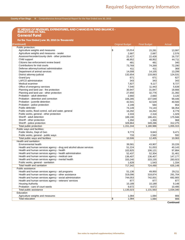### **County of San Diego**  $\%$  Comprehensive Annual Financial Report for the Year Ended June 30, 2010

### **SCHEDULE OF REVENUES, EXPENDITURES, AND CHANGES IN FUND BALANCE - BUDGET AND ACTUAL General Fund**

| For the Year Ended June 30, 2010 (In Thousands) |  |
|-------------------------------------------------|--|
|                                                 |  |

| (Continued)                                                        | <b>Original Budget</b> | <b>Final Budget</b> | Actual    |
|--------------------------------------------------------------------|------------------------|---------------------|-----------|
| Public protection:                                                 |                        |                     |           |
| Agriculture weights and measures                                   | \$<br>15,014           | 15,281              | 13,997    |
| Agriculture weights and measures - sealer                          | 2,687                  | 2,687               | 2,576     |
| Assessor/recorder/county clerk - other protection                  | 22,427                 | 22,428              | 16,737    |
| Child support                                                      | 48,952                 | 48,952              | 44,711    |
| Citizens law enforcement review board                              | 481                    | 481                 | 340       |
| Contributions for trial courts                                     | 73,769                 | 74,269              | 72,290    |
| Defense attorney/contract administration                           | 411                    | 411                 | 369       |
| Department of animal services                                      | 14,008                 | 14,105              | 13,299    |
| District attorney-judicial                                         | 132,654                | 133,063             | 124,531   |
| Grand jury                                                         | 671                    | 671                 | 627       |
| <b>LAFCO</b> administration                                        | 343                    | 343                 | 343       |
| Medical examiner                                                   | 7,827                  | 9,117               | 8,727     |
| Office of emergency services                                       | 7,540                  | 11,443              | 5,639     |
| Planning and land use - fire protection                            | 30,947                 | 31,847              | 18,666    |
| Planning and land use - other protection                           | 27,650                 | 32,776              | 21,392    |
| Probation - adult detention                                        | 2,660                  | 2,660               | 3,120     |
| Probation - detention and correction                               | 106,285                | 107,549             | 99,446    |
| Probation - juvenile detention                                     | 42,541                 | 42,529              | 40,500    |
| Probation - police protection                                      | 2,199                  | 584                 | 654       |
| Public defender                                                    | 74,149                 | 74,143              | 68,354    |
| Public works, flood control, soil and water, general               | 16,292                 | 16,262              | 8,779     |
| Public works, general - other protection                           | 2,333                  | 2,318               | 1,029     |
| Sheriff - adult detention                                          | 189,190                | 186,431             | 175,946   |
| Sheriff - other protection                                         | 1,350                  | 1,350               | 968       |
| Sheriff - police protection                                        | 328,864                | 349,286             | 312,275   |
| Total public protection                                            | 1,151,244              | 1,180,986           | 1,055,315 |
| Public ways and facilities:                                        |                        |                     |           |
|                                                                    |                        |                     |           |
| Public Works, Dept of Gen                                          | 9,773<br>733           | 9,843               | 9,471     |
| Public works, general - public ways                                | 10,506                 | 2,562               | 592       |
| Total public ways and facilities                                   |                        | 12,405              | 10,063    |
| Health and sanitation:                                             |                        |                     |           |
| Environmental health                                               | 39,581                 | 43,907              | 33,226    |
| Health and human services agency - drug and alcohol abuse services | 51,224                 | 51,053              | 40,143    |
| Health and human services agency - health                          | 102,825                | 106,121             | 97,884    |
| Health and human services agency - health administration           | 52,437                 | 52,304              | 31,461    |
| Health and human services agency - medical care                    | 136,407                | 136,407             | 147,177   |
| Health and human services agency - mental health                   | 333,240                | 333,155             | 283,923   |
| Public works, general - sanitation                                 | 1,628                  | 1,543               | 1,334     |
| Total health and sanitation                                        | 717,342                | 724,490             | 635,148   |
| Public assistance:                                                 |                        |                     |           |
| Health and human services agency - aid programs                    | 51,136                 | 49,950              | 29,211    |
| Health and human services agency - other assistance                | 319,096                | 318,874             | 291,704   |
| Health and human services agency - social administration           | 744,053                | 742,001             | 692,905   |
| Health and human services agency - veterans' services              | 877                    | 877                 | 877       |
| <b>Housing Authority</b>                                           | 10,189                 | 10,189              | 9,148     |
| Probation - care of court wards                                    | 9,672                  | 9,672               | 10,495    |
| Total public assistance                                            | 1,135,023              | 1,131,563           | 1,034,340 |
| Education                                                          |                        |                     |           |
| Agriculture weights and measures                                   | 1,084                  | 1,084               | 906       |
| <b>Total education</b>                                             | 1,084<br>$\sqrt[6]{3}$ | 1,084               | 906       |

**Continued**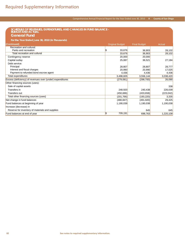### Comprehensive Annual Financial Report for the Year Ended June 30, 2010 **County of San Diego**

## **SCHEDULE OF REVENUES, EXPENDITURES, AND CHANGES IN FUND BALANCE - BUDGET AND ACTUAL**

**General Fund**

**For the Year Ended June 30, 2010 (In Thousands)**

| (Continued)                                               | <b>Original Budget</b> | <b>Final Budget</b> | Actual     |
|-----------------------------------------------------------|------------------------|---------------------|------------|
| Recreation and cultural:                                  |                        |                     |            |
| Parks and recreation                                      | 33,676                 | 36,903              | 28,102     |
| Total recreation and cultural                             | 33,676                 | 36,903              | 28,102     |
| Contingency reserve                                       | 20,000                 | 20,000              |            |
| Capital outlay                                            | 25,087                 | 36,521              | 27,184     |
| Debt service:                                             |                        |                     |            |
| Principal                                                 | 28,807                 | 28,807              | 28,777     |
| Interest and fiscal charges                               | 20,990                 | 20,990              | 17,025     |
| Payment to refunded bond escrow agent                     | 4,436                  | 4,436               | 4,436      |
| Total expenditures                                        | 3,498,605              | 3,556,144           | 3,038,420  |
| Excess (deficiency) of revenues over (under) expenditures | (279,081)              | (298, 700)          | 26,090     |
| Other financing sources (uses):                           |                        |                     |            |
| Sale of capital assets                                    |                        |                     | 338        |
| Transfers in                                              | 248,920                | 240,438             | 226,039    |
| Transfers out                                             | (450, 686)             | (433, 658)          | (223, 042) |
| Total other financing sources (uses)                      | (201, 766)             | (193, 220)          | 3,335      |
| Net change in fund balances                               | (480, 847)             | (491, 920)          | 29,425     |
| Fund balances at beginning of year                        | 1,190,038              | 1,190,038           | 1,190,038  |
| Increase (decrease) in                                    |                        |                     |            |
| Reserve for inventory of materials and supplies           |                        | 645                 | 645        |
| Fund balances at end of year                              | Ι\$<br>709,191         | 698,763             | 1,220,108  |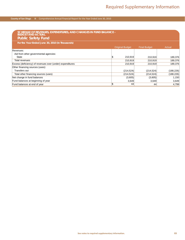### **County of San Diego**  $\#$  Comprehensive Annual Financial Report for the Year Ended June 30, 2010

| SCHEDULE OF REVENUES, EXPENDITURES, AND CHANGES IN FUND BALANCE -<br><b>BUDGET AND ACTUAL</b><br><b>Public Safety Fund</b> |               |                        |                     |            |
|----------------------------------------------------------------------------------------------------------------------------|---------------|------------------------|---------------------|------------|
| For the Year Ended June 30, 2010 (In Thousands)                                                                            |               |                        |                     |            |
|                                                                                                                            |               | <b>Original Budget</b> | <b>Final Budget</b> | Actual     |
| Revenues:                                                                                                                  |               |                        |                     |            |
| Aid from other governmental agencies:                                                                                      |               |                        |                     |            |
| State                                                                                                                      |               | S.<br>210,919          | 210,919             | 189,376    |
| Total revenues                                                                                                             |               | 210,919                | 210,919             | 189,376    |
| Excess (deficiency) of revenues over (under) expenditures                                                                  |               | 210,919                | 210,919             | 189,376    |
| Other financing sources (uses):                                                                                            |               |                        |                     |            |
| Transfers out                                                                                                              |               | (214, 524)             | (214, 524)          | (188, 226) |
| Total other financing sources (uses)                                                                                       |               | (214, 524)             | (214, 524)          | (188, 226) |
| Net change in fund balances                                                                                                |               | (3,605)                | (3,605)             | 1,150      |
| Fund balances at beginning of year                                                                                         |               | 3,649                  | 3,649               | 3,649      |
| Fund balances at end of year                                                                                               | <sub>\$</sub> | 44                     | 44                  | 4,799      |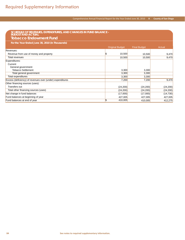| SCHEDULE OF REVENUES, EXPENDITURES, AND CHANGES IN FUND BALANCE -<br>BUDGET AND ACTUAL<br><b>Tobacco Endowment Fund</b> |     |                        |                     |           |
|-------------------------------------------------------------------------------------------------------------------------|-----|------------------------|---------------------|-----------|
| For the Year Ended June 30, 2010 (In Thousands)                                                                         |     |                        |                     |           |
|                                                                                                                         |     | <b>Original Budget</b> | <b>Final Budget</b> | Actual    |
| Revenues:                                                                                                               |     |                        |                     |           |
| Revenue from use of money and property                                                                                  | l\$ | 10,500                 | 10,500              | 9,470     |
| Total revenues                                                                                                          |     | 10,500                 | 10,500              | 9,470     |
| Expenditures:                                                                                                           |     |                        |                     |           |
| Current:                                                                                                                |     |                        |                     |           |
| General government:                                                                                                     |     |                        |                     |           |
| <b>Tobacco Settlement</b>                                                                                               |     | 3,300                  | 3,300               |           |
| Total general government                                                                                                |     | 3,300                  | 3,300               |           |
| Total expenditures                                                                                                      |     | 3,300                  | 3,300               |           |
| Excess (deficiency) of revenues over (under) expenditures                                                               |     | 7,200                  | 7,200               | 9,470     |
| Other financing sources (uses):                                                                                         |     |                        |                     |           |
| Transfers out                                                                                                           |     | (24,200)               | (24,200)            | (24, 200) |
| Total other financing sources (uses)                                                                                    |     | (24,200)               | (24,200)            | (24, 200) |
| Net change in fund balances                                                                                             |     | (17,000)               | (17,000)            | (14, 730) |
| Fund balances at beginning of year                                                                                      |     | 427,005                | 427,005             | 427,005   |
| Fund balances at end of year                                                                                            | S)  | 410,005                | 410,005             | 412,275   |